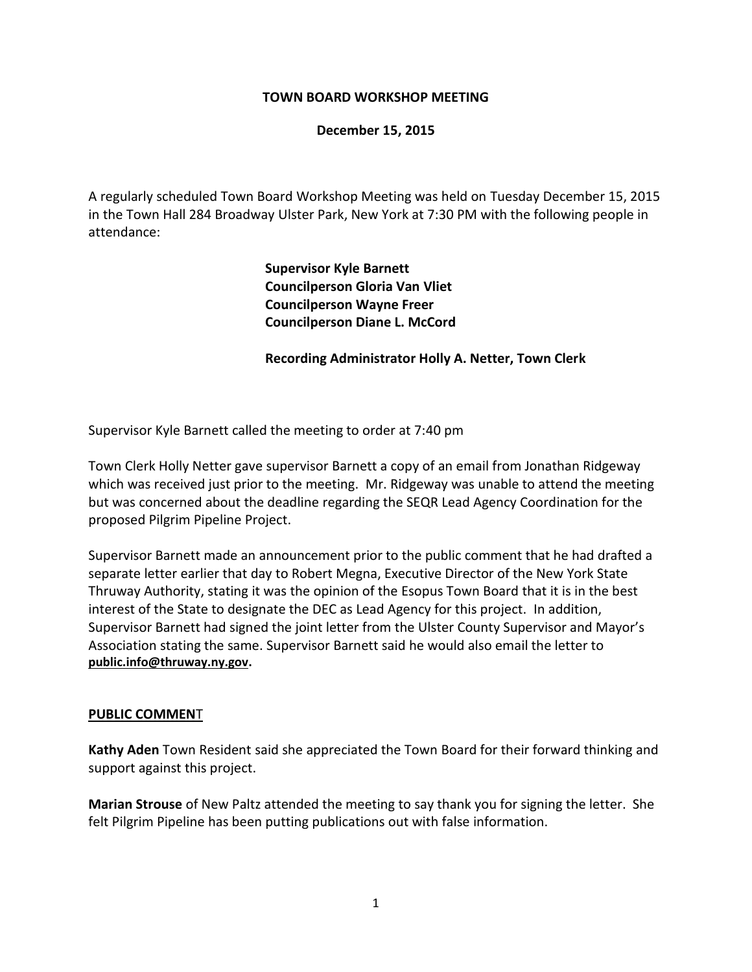# **TOWN BOARD WORKSHOP MEETING**

# **December 15, 2015**

A regularly scheduled Town Board Workshop Meeting was held on Tuesday December 15, 2015 in the Town Hall 284 Broadway Ulster Park, New York at 7:30 PM with the following people in attendance:

> **Supervisor Kyle Barnett Councilperson Gloria Van Vliet Councilperson Wayne Freer Councilperson Diane L. McCord**

# **Recording Administrator Holly A. Netter, Town Clerk**

Supervisor Kyle Barnett called the meeting to order at 7:40 pm

Town Clerk Holly Netter gave supervisor Barnett a copy of an email from Jonathan Ridgeway which was received just prior to the meeting. Mr. Ridgeway was unable to attend the meeting but was concerned about the deadline regarding the SEQR Lead Agency Coordination for the proposed Pilgrim Pipeline Project.

Supervisor Barnett made an announcement prior to the public comment that he had drafted a separate letter earlier that day to Robert Megna, Executive Director of the New York State Thruway Authority, stating it was the opinion of the Esopus Town Board that it is in the best interest of the State to designate the DEC as Lead Agency for this project. In addition, Supervisor Barnett had signed the joint letter from the Ulster County Supervisor and Mayor's Association stating the same. Supervisor Barnett said he would also email the letter to **[public.info@thruway.ny.gov.](mailto:public.info@thruway.ny.gov)**

#### **PUBLIC COMMEN**T

**Kathy Aden** Town Resident said she appreciated the Town Board for their forward thinking and support against this project.

**Marian Strouse** of New Paltz attended the meeting to say thank you for signing the letter. She felt Pilgrim Pipeline has been putting publications out with false information.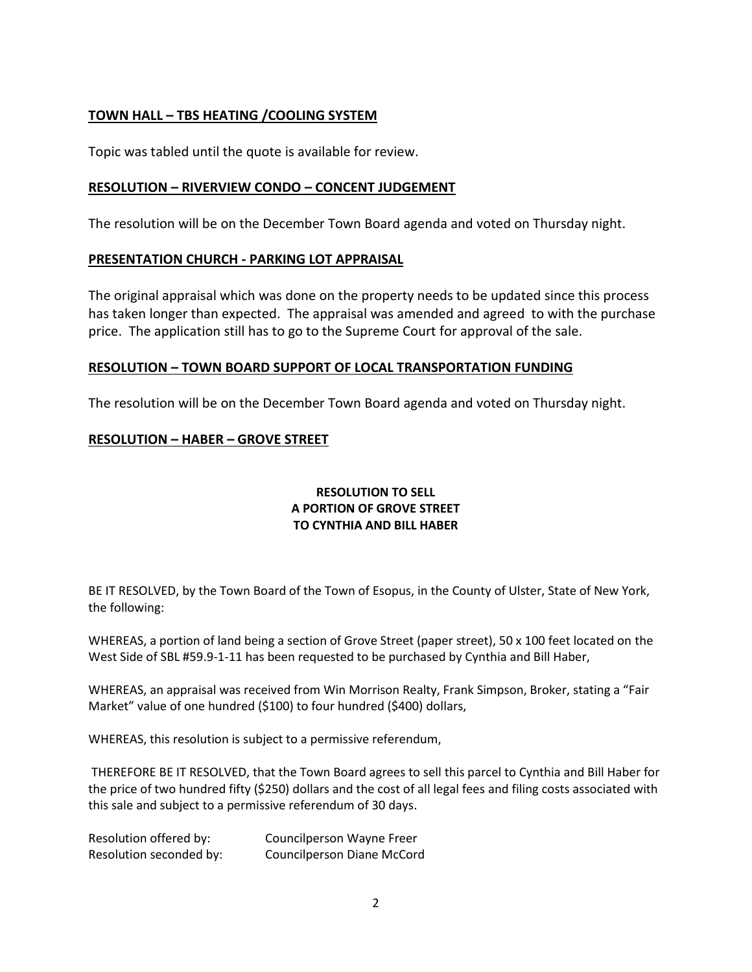# **TOWN HALL – TBS HEATING /COOLING SYSTEM**

Topic was tabled until the quote is available for review.

# **RESOLUTION – RIVERVIEW CONDO – CONCENT JUDGEMENT**

The resolution will be on the December Town Board agenda and voted on Thursday night.

#### **PRESENTATION CHURCH - PARKING LOT APPRAISAL**

The original appraisal which was done on the property needs to be updated since this process has taken longer than expected. The appraisal was amended and agreed to with the purchase price. The application still has to go to the Supreme Court for approval of the sale.

# **RESOLUTION – TOWN BOARD SUPPORT OF LOCAL TRANSPORTATION FUNDING**

The resolution will be on the December Town Board agenda and voted on Thursday night.

# **RESOLUTION – HABER – GROVE STREET**

# **RESOLUTION TO SELL A PORTION OF GROVE STREET TO CYNTHIA AND BILL HABER**

BE IT RESOLVED, by the Town Board of the Town of Esopus, in the County of Ulster, State of New York, the following:

WHEREAS, a portion of land being a section of Grove Street (paper street), 50 x 100 feet located on the West Side of SBL #59.9-1-11 has been requested to be purchased by Cynthia and Bill Haber,

WHEREAS, an appraisal was received from Win Morrison Realty, Frank Simpson, Broker, stating a "Fair Market" value of one hundred (\$100) to four hundred (\$400) dollars,

WHEREAS, this resolution is subject to a permissive referendum,

THEREFORE BE IT RESOLVED, that the Town Board agrees to sell this parcel to Cynthia and Bill Haber for the price of two hundred fifty (\$250) dollars and the cost of all legal fees and filing costs associated with this sale and subject to a permissive referendum of 30 days.

| Resolution offered by:  | Councilperson Wayne Freer         |
|-------------------------|-----------------------------------|
| Resolution seconded by: | <b>Councilperson Diane McCord</b> |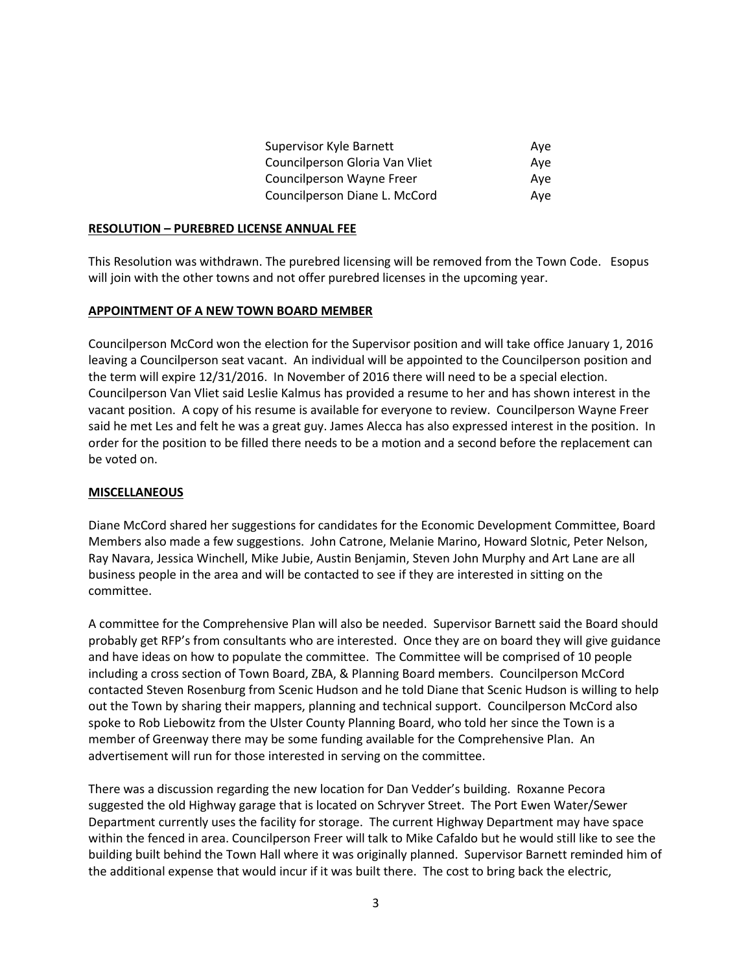| Supervisor Kyle Barnett        | Ave |
|--------------------------------|-----|
| Councilperson Gloria Van Vliet | Ave |
| Councilperson Wayne Freer      | Ave |
| Councilperson Diane L. McCord  | Ave |

#### **RESOLUTION – PUREBRED LICENSE ANNUAL FEE**

This Resolution was withdrawn. The purebred licensing will be removed from the Town Code. Esopus will join with the other towns and not offer purebred licenses in the upcoming year.

#### **APPOINTMENT OF A NEW TOWN BOARD MEMBER**

Councilperson McCord won the election for the Supervisor position and will take office January 1, 2016 leaving a Councilperson seat vacant. An individual will be appointed to the Councilperson position and the term will expire 12/31/2016. In November of 2016 there will need to be a special election. Councilperson Van Vliet said Leslie Kalmus has provided a resume to her and has shown interest in the vacant position. A copy of his resume is available for everyone to review. Councilperson Wayne Freer said he met Les and felt he was a great guy. James Alecca has also expressed interest in the position. In order for the position to be filled there needs to be a motion and a second before the replacement can be voted on.

#### **MISCELLANEOUS**

Diane McCord shared her suggestions for candidates for the Economic Development Committee, Board Members also made a few suggestions. John Catrone, Melanie Marino, Howard Slotnic, Peter Nelson, Ray Navara, Jessica Winchell, Mike Jubie, Austin Benjamin, Steven John Murphy and Art Lane are all business people in the area and will be contacted to see if they are interested in sitting on the committee.

A committee for the Comprehensive Plan will also be needed. Supervisor Barnett said the Board should probably get RFP's from consultants who are interested. Once they are on board they will give guidance and have ideas on how to populate the committee. The Committee will be comprised of 10 people including a cross section of Town Board, ZBA, & Planning Board members. Councilperson McCord contacted Steven Rosenburg from Scenic Hudson and he told Diane that Scenic Hudson is willing to help out the Town by sharing their mappers, planning and technical support. Councilperson McCord also spoke to Rob Liebowitz from the Ulster County Planning Board, who told her since the Town is a member of Greenway there may be some funding available for the Comprehensive Plan. An advertisement will run for those interested in serving on the committee.

There was a discussion regarding the new location for Dan Vedder's building. Roxanne Pecora suggested the old Highway garage that is located on Schryver Street. The Port Ewen Water/Sewer Department currently uses the facility for storage. The current Highway Department may have space within the fenced in area. Councilperson Freer will talk to Mike Cafaldo but he would still like to see the building built behind the Town Hall where it was originally planned. Supervisor Barnett reminded him of the additional expense that would incur if it was built there. The cost to bring back the electric,